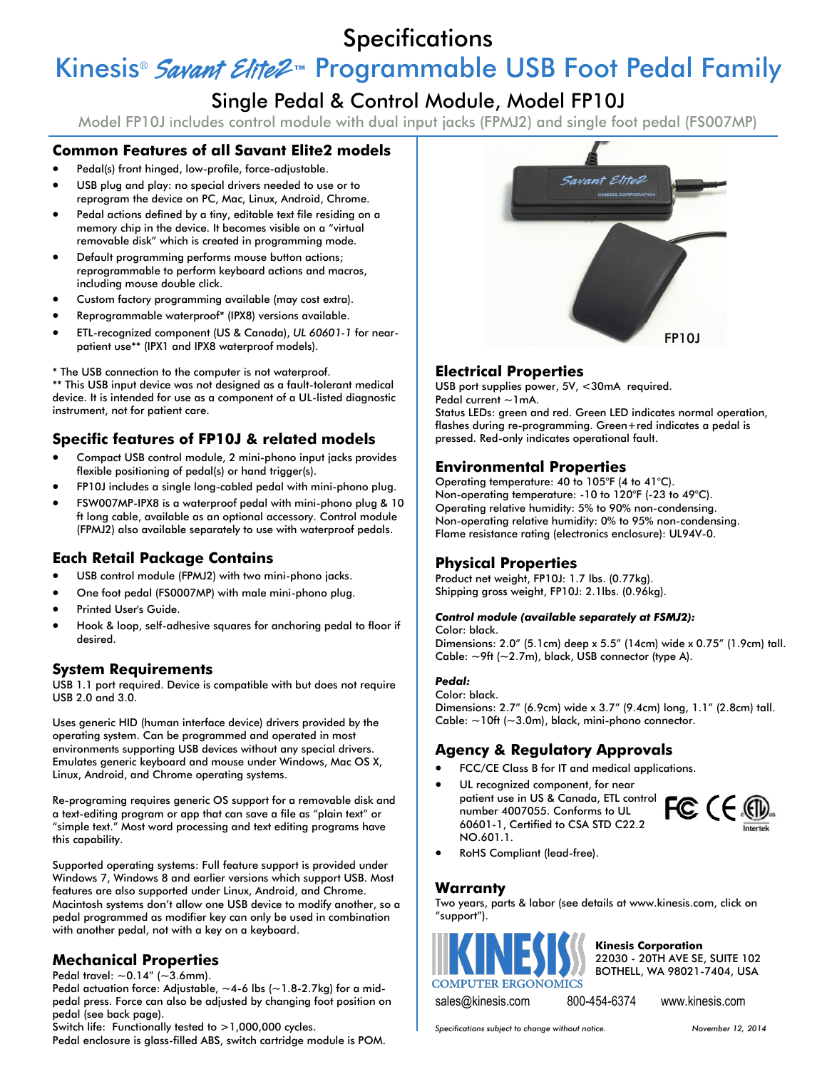# **Specifications**

# Kinesis<sup>®</sup> Savant Elite2<sup>™</sup> Programmable USB Foot Pedal Family

# Single Pedal & Control Module, Model FP10J

Model FP10J includes control module with dual input jacks (FPMJ2) and single foot pedal (FS007MP)

### **Common Features of all Savant Elite2 models**

- Pedal(s) front hinged, low-profile, force-adjustable.
- USB plug and play: no special drivers needed to use or to reprogram the device on PC, Mac, Linux, Android, Chrome.
- Pedal actions defined by a tiny, editable text file residing on a memory chip in the device. It becomes visible on a "virtual removable disk" which is created in programming mode.
- Default programming performs mouse button actions; reprogrammable to perform keyboard actions and macros, including mouse double click.
- Custom factory programming available (may cost extra).
- Reprogrammable waterproof\* (IPX8) versions available.
- ETL-recognized component (US & Canada), *UL 60601-1* for nearpatient use\*\* (IPX1 and IPX8 waterproof models).

\* The USB connection to the computer is not waterproof.

\*\* This USB input device was not designed as a fault-tolerant medical device. It is intended for use as a component of a UL-listed diagnostic instrument, not for patient care.

# **Specific features of FP10J & related models**

- Compact USB control module, 2 mini-phono input jacks provides flexible positioning of pedal(s) or hand trigger(s).
- FP10J includes a single long-cabled pedal with mini-phono plug.
- FSW007MP-IPX8 is a waterproof pedal with mini-phono plug & 10 ft long cable, available as an optional accessory. Control module (FPMJ2) also available separately to use with waterproof pedals.

# **Each Retail Package Contains**

- USB control module (FPMJ2) with two mini-phono jacks.
- One foot pedal (FS0007MP) with male mini-phono plug.
- Printed User's Guide.
- Hook & loop, self-adhesive squares for anchoring pedal to floor if desired.

#### **System Requirements**

USB 1.1 port required. Device is compatible with but does not require USB 2.0 and 3.0.

Uses generic HID (human interface device) drivers provided by the operating system. Can be programmed and operated in most environments supporting USB devices without any special drivers. Emulates generic keyboard and mouse under Windows, Mac OS X, Linux, Android, and Chrome operating systems.

Re-programing requires generic OS support for a removable disk and a text-editing program or app that can save a file as "plain text" or "simple text." Most word processing and text editing programs have this capability.

Supported operating systems: Full feature support is provided under Windows 7, Windows 8 and earlier versions which support USB. Most features are also supported under Linux, Android, and Chrome. Macintosh systems don't allow one USB device to modify another, so a pedal programmed as modifier key can only be used in combination with another pedal, not with a key on a keyboard.

# **Mechanical Properties**

Pedal travel:  $\sim$  0.14" ( $\sim$  3.6mm).

Pedal actuation force: Adjustable,  $\sim$  4-6 lbs ( $\sim$  1.8-2.7kg) for a midpedal press. Force can also be adjusted by changing foot position on pedal (see back page).

Switch life: Functionally tested to >1,000,000 cycles.

Pedal enclosure is glass-filled ABS, switch cartridge module is POM.



# **Electrical Properties**

USB port supplies power, 5V, <30mA required. Pedal current ~1mA.

Status LEDs: green and red. Green LED indicates normal operation, flashes during re-programming. Green+red indicates a pedal is pressed. Red-only indicates operational fault.

#### **Environmental Properties**

Operating temperature: 40 to 105°F (4 to 41°C). Non-operating temperature: -10 to 120°F (-23 to 49°C). Operating relative humidity: 5% to 90% non-condensing. Non-operating relative humidity: 0% to 95% non-condensing. Flame resistance rating (electronics enclosure): UL94V-0.

#### **Physical Properties**

Product net weight, FP10J: 1.7 lbs. (0.77kg). Shipping gross weight, FP10J: 2.1lbs. (0.96kg).

#### *Control module (available separately at FSMJ2):*

Color: black. Dimensions: 2.0" (5.1cm) deep x 5.5" (14cm) wide x 0.75" (1.9cm) tall. Cable:  $\sim$ 9ft ( $\sim$ 2.7m), black, USB connector (type A).

#### *Pedal:* Color: black.

Dimensions: 2.7" (6.9cm) wide x 3.7" (9.4cm) long, 1.1" (2.8cm) tall. Cable:  $\sim$ 10ft ( $\sim$ 3.0m), black, mini-phono connector.

# **Agency & Regulatory Approvals**

- FCC/CE Class B for IT and medical applications.
- UL recognized component, for near patient use in US & Canada, ETL control number 4007055. Conforms to UL 60601-1, Certified to CSA STD C22.2 NO.601.1.



RoHS Compliant (lead-free).

#### **Warranty**

Two years, parts & labor (see details at www.kinesis.com, click on "support").



**Kinesis Corporation** 22030 - 20TH AVE SE, SUITE 102 BOTHELL, WA 98021-7404, USA

sales@kinesis.com 800-454-6374 www.kinesis.com

*Specifications subject to change without notice. November 12, 2014*